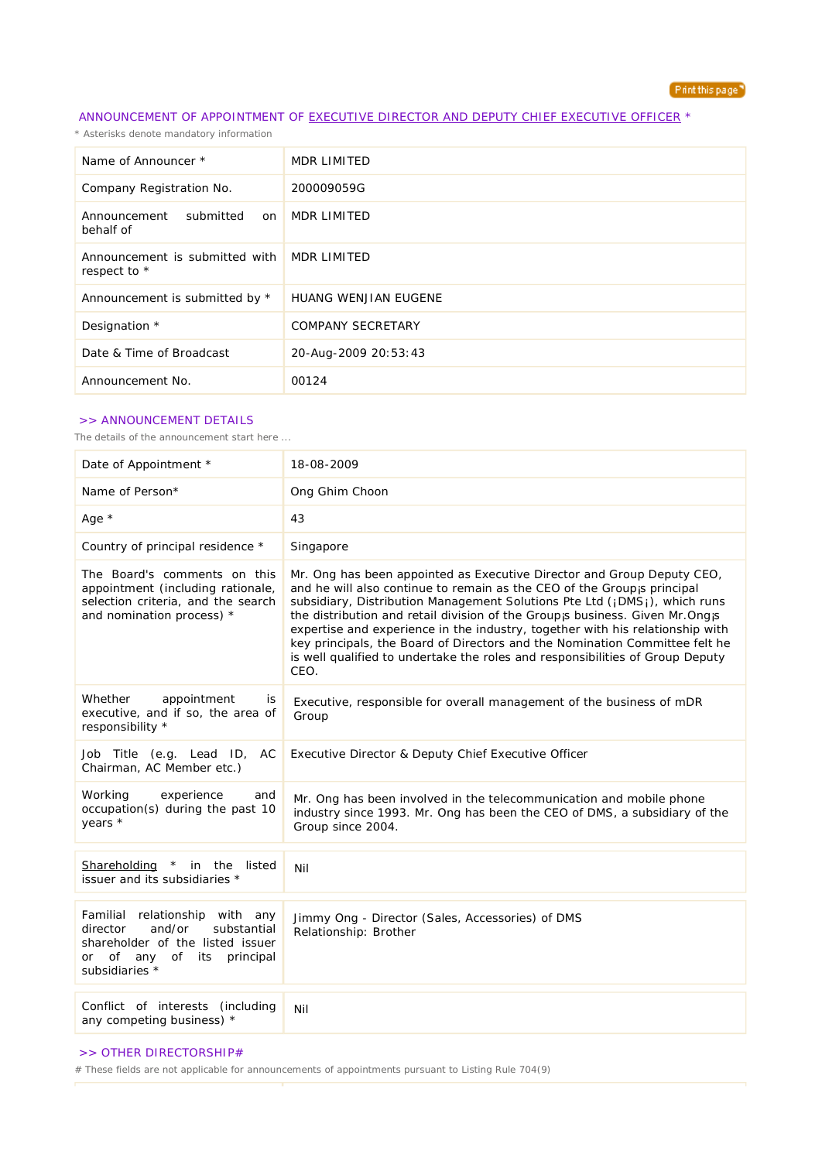

## ANNOUNCEMENT OF APPOINTMENT OF EXECUTIVE DIRECTOR AND DEPUTY CHIEF EXECUTIVE OFFICER \*

*\* Asterisks denote mandatory information*

| Name of Announcer *                                          | <b>MDR LIMITED</b>          |
|--------------------------------------------------------------|-----------------------------|
| Company Registration No.                                     | 200009059G                  |
| submitted<br>Announcement<br>on<br>behalf of                 | MDR LIMITED                 |
| Announcement is submitted with   MDR LIMITED<br>respect to * |                             |
| Announcement is submitted by *                               | <b>HUANG WENJIAN EUGENE</b> |
| Designation *                                                | <b>COMPANY SECRETARY</b>    |
| Date & Time of Broadcast                                     | 20-Aug-2009 20:53:43        |
| Announcement No.                                             | 00124                       |

## >> ANNOUNCEMENT DETAILS

*The details of the announcement start here ...*

| Date of Appointment *                                                                                                                                            | 18-08-2009                                                                                                                                                                                                                                                                                                                                                                                                                                                                                                                                                                  |  |
|------------------------------------------------------------------------------------------------------------------------------------------------------------------|-----------------------------------------------------------------------------------------------------------------------------------------------------------------------------------------------------------------------------------------------------------------------------------------------------------------------------------------------------------------------------------------------------------------------------------------------------------------------------------------------------------------------------------------------------------------------------|--|
| Name of Person*                                                                                                                                                  | Ong Ghim Choon                                                                                                                                                                                                                                                                                                                                                                                                                                                                                                                                                              |  |
| Age $*$                                                                                                                                                          | 43                                                                                                                                                                                                                                                                                                                                                                                                                                                                                                                                                                          |  |
| Country of principal residence *                                                                                                                                 | Singapore                                                                                                                                                                                                                                                                                                                                                                                                                                                                                                                                                                   |  |
| The Board's comments on this<br>appointment (including rationale,<br>selection criteria, and the search<br>and nomination process) *                             | Mr. Ong has been appointed as Executive Director and Group Deputy CEO,<br>and he will also continue to remain as the CEO of the Groupis principal<br>subsidiary, Distribution Management Solutions Pte Ltd (¡ DMS;), which runs<br>the distribution and retail division of the Group is business. Given Mr. Ong is<br>expertise and experience in the industry, together with his relationship with<br>key principals, the Board of Directors and the Nomination Committee felt he<br>is well qualified to undertake the roles and responsibilities of Group Deputy<br>CEO. |  |
| Whether<br>appointment<br>is<br>executive, and if so, the area of<br>responsibility *                                                                            | Executive, responsible for overall management of the business of mDR<br>Group                                                                                                                                                                                                                                                                                                                                                                                                                                                                                               |  |
| Job Title (e.g. Lead ID, AC<br>Chairman, AC Member etc.)                                                                                                         | Executive Director & Deputy Chief Executive Officer                                                                                                                                                                                                                                                                                                                                                                                                                                                                                                                         |  |
| Working<br>experience<br>and<br>occupation(s) during the past 10<br>years *                                                                                      | Mr. Ong has been involved in the telecommunication and mobile phone<br>industry since 1993. Mr. Ong has been the CEO of DMS, a subsidiary of the<br>Group since 2004.                                                                                                                                                                                                                                                                                                                                                                                                       |  |
| Shareholding * in the listed<br>issuer and its subsidiaries *                                                                                                    | Nil                                                                                                                                                                                                                                                                                                                                                                                                                                                                                                                                                                         |  |
| Familial relationship with any<br>director<br>and/or<br>substantial<br>shareholder of the listed issuer<br>or of<br>any<br>of its<br>principal<br>subsidiaries * | Jimmy Ong - Director (Sales, Accessories) of DMS<br>Relationship: Brother                                                                                                                                                                                                                                                                                                                                                                                                                                                                                                   |  |
| Conflict of interests (including<br>any competing business) *                                                                                                    | Nil                                                                                                                                                                                                                                                                                                                                                                                                                                                                                                                                                                         |  |

## >> OTHER DIRECTORSHIP#

*# These fields are not applicable for announcements of appointments pursuant to Listing Rule 704(9)*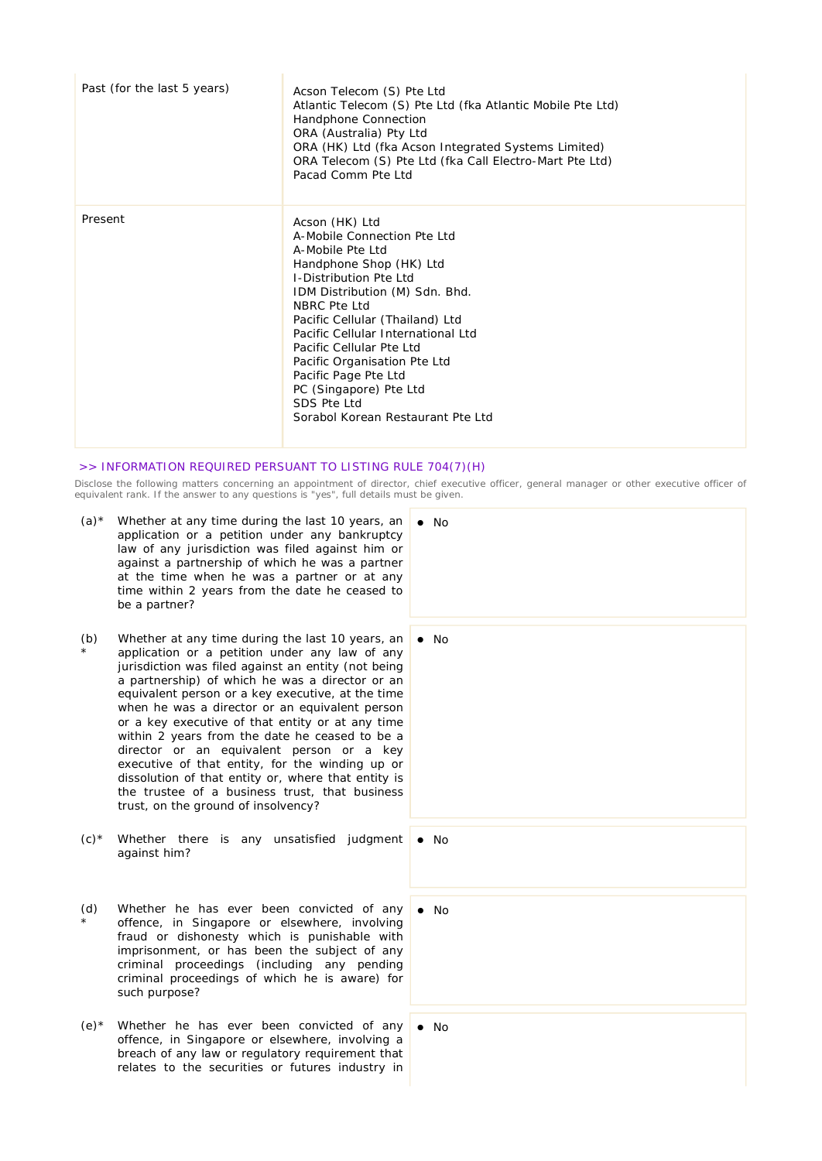| Past (for the last 5 years) | Acson Telecom (S) Pte Ltd<br>Atlantic Telecom (S) Pte Ltd (fka Atlantic Mobile Pte Ltd)<br>Handphone Connection<br>ORA (Australia) Pty Ltd<br>ORA (HK) Ltd (fka Acson Integrated Systems Limited)<br>ORA Telecom (S) Pte Ltd (fka Call Electro-Mart Pte Ltd)<br>Pacad Comm Pte Ltd                                                                                                                                         |
|-----------------------------|----------------------------------------------------------------------------------------------------------------------------------------------------------------------------------------------------------------------------------------------------------------------------------------------------------------------------------------------------------------------------------------------------------------------------|
| Present                     | Acson (HK) Ltd<br>A-Mobile Connection Pte Ltd<br>A-Mobile Pte Ltd<br>Handphone Shop (HK) Ltd<br><b>I-Distribution Pte Ltd</b><br>IDM Distribution (M) Sdn. Bhd.<br>NBRC Pte Ltd<br>Pacific Cellular (Thailand) Ltd<br>Pacific Cellular International Ltd<br>Pacific Cellular Pte Ltd<br>Pacific Organisation Pte Ltd<br>Pacific Page Pte Ltd<br>PC (Singapore) Pte Ltd<br>SDS Pte Ltd<br>Sorabol Korean Restaurant Pte Ltd |

## >> INFORMATION REQUIRED PERSUANT TO LISTING RULE 704(7)(H)

Disclose the following matters concerning an appointment of director, chief executive officer, general manager or other executive officer of *equivalent rank. If the answer to any questions is "yes", full details must be given.*

- (a)\* Whether at any time during the last 10 years, an  $\bullet$  No application or a petition under any bankruptcy law of any jurisdiction was filed against him or against a partnership of which he was a partner at the time when he was a partner or at any time within 2 years from the date he ceased to be a partner?
- (b) \* Whether at any time during the last 10 years, an application or a petition under any law of any jurisdiction was filed against an entity (not being a partnership) of which he was a director or an equivalent person or a key executive, at the time when he was a director or an equivalent person or a key executive of that entity or at any time within 2 years from the date he ceased to be a director or an equivalent person or a key executive of that entity, for the winding up or dissolution of that entity or, where that entity is the trustee of a business trust, that business trust, on the ground of insolvency?
- (c)\* Whether there is any unsatisfied judgment against him?
- (d) \* Whether he has ever been convicted of any offence, in Singapore or elsewhere, involving fraud or dishonesty which is punishable with imprisonment, or has been the subject of any criminal proceedings (including any pending criminal proceedings of which he is aware) for such purpose?
- $(e)^*$  Whether he has ever been convicted of any offence, in Singapore or elsewhere, involving a breach of any law or regulatory requirement that relates to the securities or futures industry in
- $\bullet$  No No  $\bullet$  No

 $\bullet$  No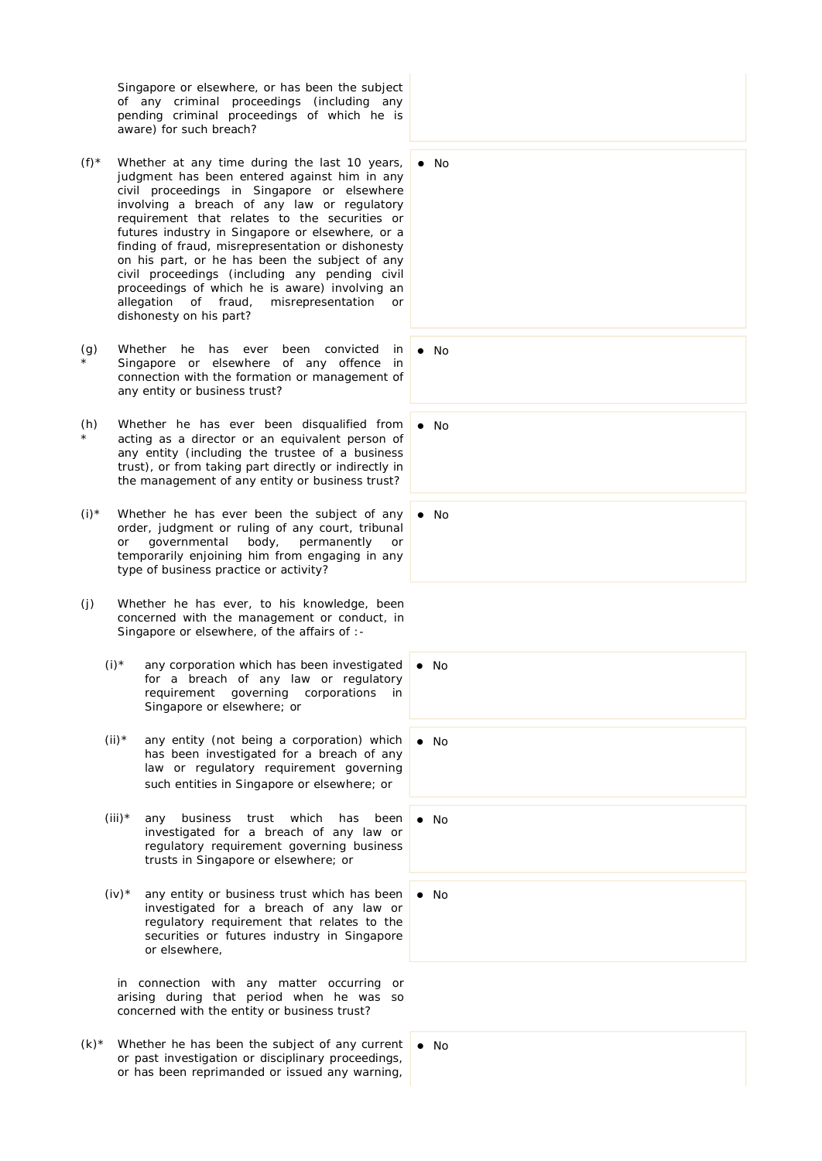Singapore or elsewhere, or has been the subject of any criminal proceedings (including any pending criminal proceedings of which he is aware) for such breach?

- $(f)^*$  Whether at any time during the last 10 years, judgment has been entered against him in any civil proceedings in Singapore or elsewhere involving a breach of any law or regulatory requirement that relates to the securities or futures industry in Singapore or elsewhere, or a finding of fraud, misrepresentation or dishonesty on his part, or he has been the subject of any civil proceedings (including any pending civil proceedings of which he is aware) involving an allegation of fraud, misrepresentation or dishonesty on his part?
- (g) \* Whether he has ever been convicted in Singapore or elsewhere of any offence in connection with the formation or management of any entity or business trust?
- (h) \* Whether he has ever been disqualified from acting as a director or an equivalent person of any entity (including the trustee of a business trust), or from taking part directly or indirectly in the management of any entity or business trust?
- $(i)*$  Whether he has ever been the subject of any order, judgment or ruling of any court, tribunal or governmental body, permanently or temporarily enjoining him from engaging in any type of business practice or activity?
- (j) Whether he has ever, to his knowledge, been concerned with the management or conduct, in Singapore or elsewhere, of the affairs of :-
	- $(i)$ <sup>\*</sup> any corporation which has been investigated for a breach of any law or regulatory requirement governing corporations in Singapore or elsewhere; or
	- $(ii)*$  any entity (not being a corporation) which has been investigated for a breach of any law or regulatory requirement governing such entities in Singapore or elsewhere; or
	- (iii)\* any business trust which has been investigated for a breach of any law or regulatory requirement governing business trusts in Singapore or elsewhere; or
	- $(iv)^*$  any entity or business trust which has been investigated for a breach of any law or regulatory requirement that relates to the securities or futures industry in Singapore or elsewhere,

in connection with any matter occurring or arising during that period when he was so concerned with the entity or business trust?

 $(k)$ <sup>\*</sup> Whether he has been the subject of any current or past investigation or disciplinary proceedings, or has been reprimanded or issued any warning,

 $\bullet$  No

 $\bullet$  No

 $\bullet$  No

 $\bullet$  No

 $\bullet$  No

 $\bullet$  No

No

 $\bullet$  No

 $\bullet$  No